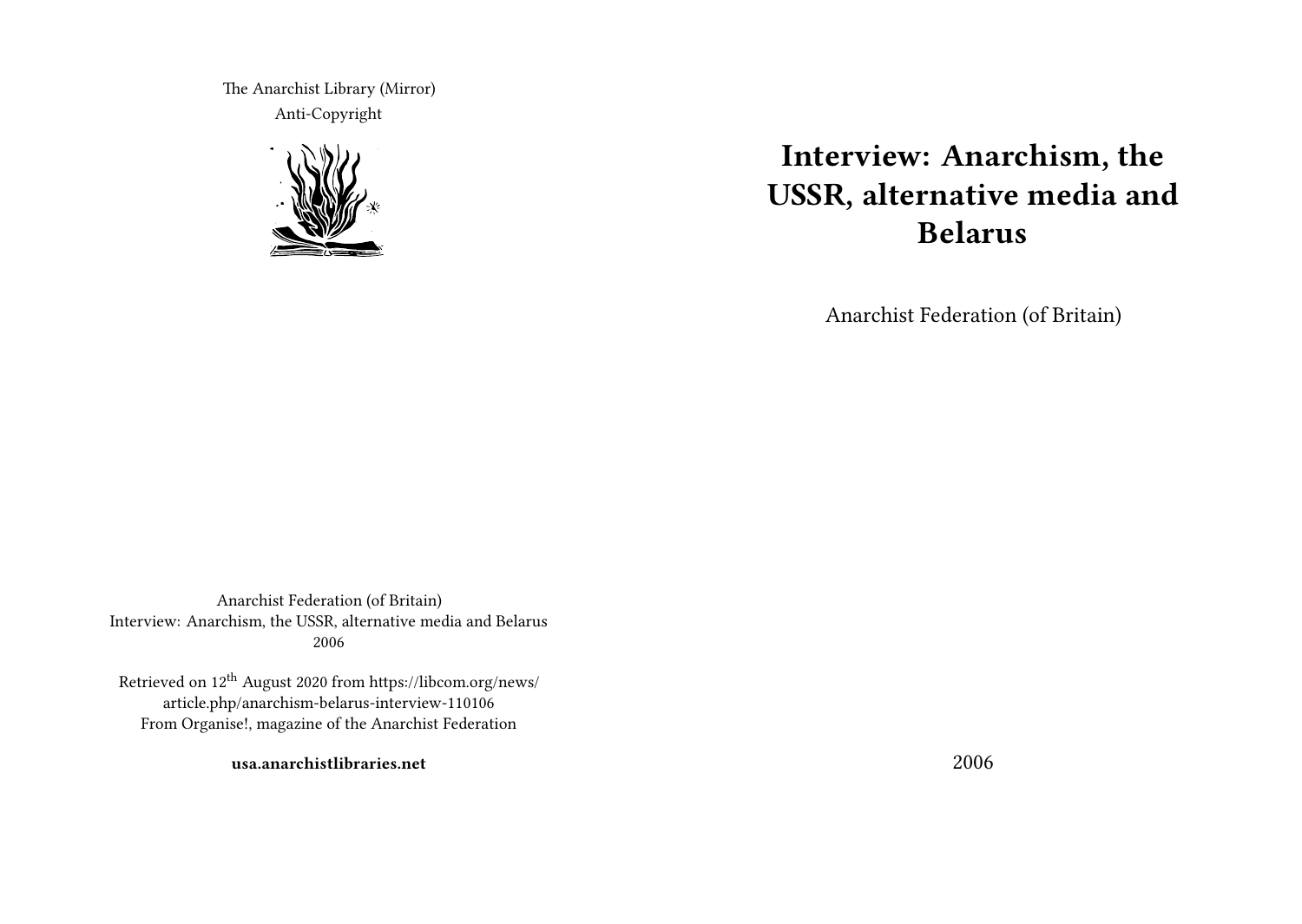The Anarchist Library (Mirror) Anti-Copyright



# **Interview: Anarchism, the USSR, alternative media and Belarus**

Anarchist Federation (of Britain)

Anarchist Federation (of Britain) Interview: Anarchism, the USSR, alternative media and Belarus 2006

Retrieved on 12th August 2020 from https://libcom.org/news/ article.php/anarchism-belarus-interview-110106 From Organise!, magazine of the Anarchist Federation

**usa.anarchistlibraries.net**

2006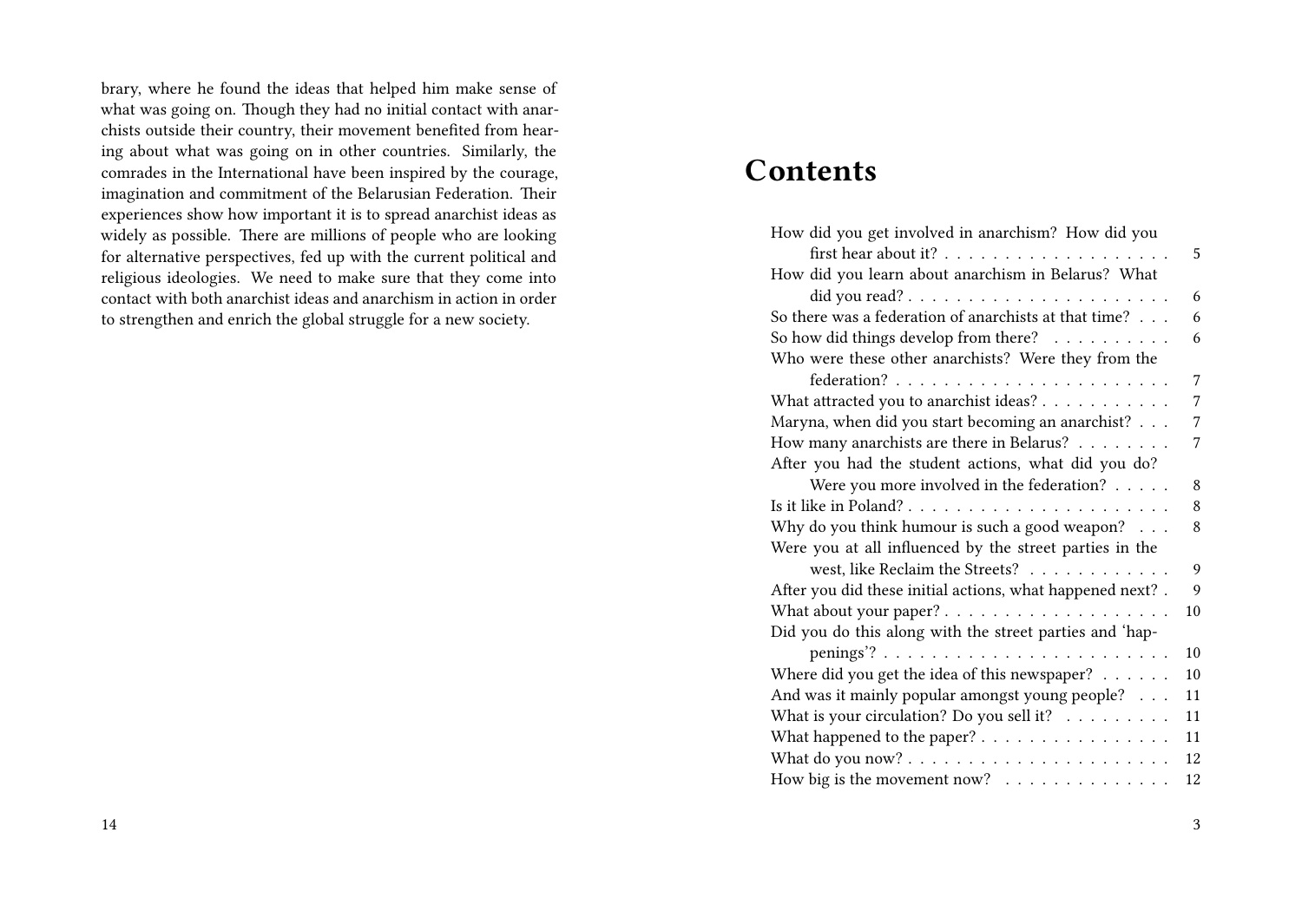brary, where he found the ideas that helped him make sense of what was going on. Though they had no initial contact with anarchists outside their country, their movement benefited from hearing about what was going on in other countries. Similarly, the comrades in the International have been inspired by the courage, imagination and commitment of the Belarusian Federation. Their experiences show how important it is to spread anarchist ideas as widely as possible. There are millions of people who are looking for alternative perspectives, fed up with the current political and religious ideologies. We need to make sure that they come into contact with both anarchist ideas and anarchism in action in order to strengthen and enrich the global struggle for a new society.

# **Contents**

| How did you get involved in anarchism? How did you           |                |
|--------------------------------------------------------------|----------------|
|                                                              | 5              |
| How did you learn about anarchism in Belarus? What           |                |
|                                                              | 6              |
| So there was a federation of anarchists at that time?        | 6              |
| So how did things develop from there? $\ldots \ldots \ldots$ | 6              |
| Who were these other anarchists? Were they from the          |                |
|                                                              | 7              |
| What attracted you to anarchist ideas?                       | $\overline{7}$ |
| Maryna, when did you start becoming an anarchist?            | 7              |
| How many anarchists are there in Belarus?                    | 7              |
| After you had the student actions, what did you do?          |                |
| Were you more involved in the federation? $\dots$ .          | 8              |
|                                                              | 8              |
| Why do you think humour is such a good weapon? $\ldots$      | 8              |
| Were you at all influenced by the street parties in the      |                |
| west, like Reclaim the Streets?                              | 9              |
| After you did these initial actions, what happened next? .   | 9              |
|                                                              | 10             |
| Did you do this along with the street parties and 'hap-      |                |
|                                                              | 10             |
| Where did you get the idea of this newspaper? $\dots \dots$  | 10             |
| And was it mainly popular amongst young people?              | 11             |
| What is your circulation? Do you sell it? $\ldots \ldots$    | 11             |
| What happened to the paper?                                  | 11             |
|                                                              | 12             |
| How big is the movement now?                                 | 12             |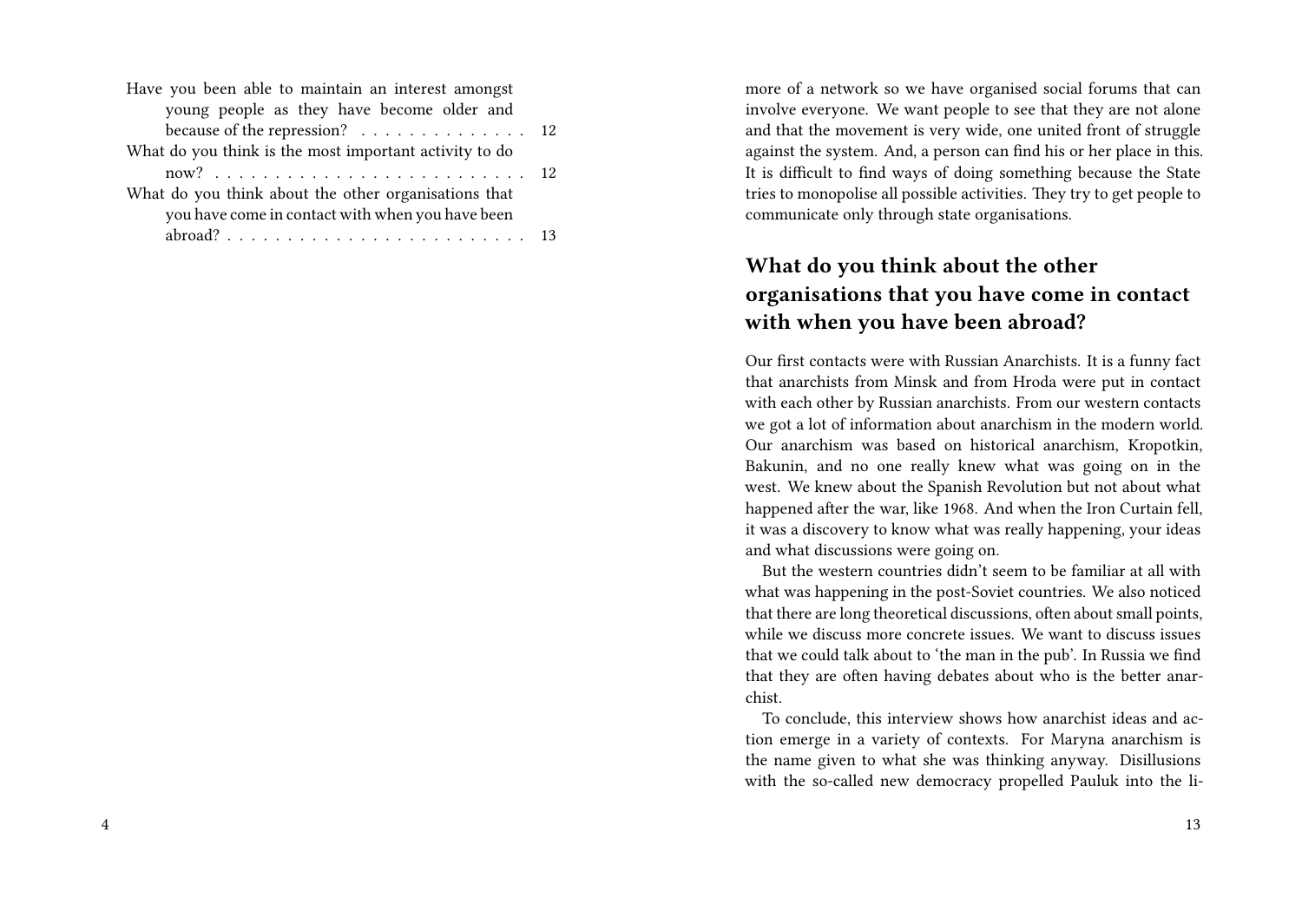| Have you been able to maintain an interest amongst     |  |
|--------------------------------------------------------|--|
| young people as they have become older and             |  |
| because of the repression? 12                          |  |
| What do you think is the most important activity to do |  |
|                                                        |  |
| What do you think about the other organisations that   |  |
| you have come in contact with when you have been       |  |
|                                                        |  |
|                                                        |  |

more of a network so we have organised social forums that can involve everyone. We want people to see that they are not alone and that the movement is very wide, one united front of struggle against the system. And, a person can find his or her place in this. It is difficult to find ways of doing something because the State tries to monopolise all possible activities. They try to get people to communicate only through state organisations.

### **What do you think about the other organisations that you have come in contact with when you have been abroad?**

Our first contacts were with Russian Anarchists. It is a funny fact that anarchists from Minsk and from Hroda were put in contact with each other by Russian anarchists. From our western contacts we got a lot of information about anarchism in the modern world. Our anarchism was based on historical anarchism, Kropotkin, Bakunin, and no one really knew what was going on in the west. We knew about the Spanish Revolution but not about what happened after the war, like 1968. And when the Iron Curtain fell, it was a discovery to know what was really happening, your ideas and what discussions were going on.

But the western countries didn't seem to be familiar at all with what was happening in the post-Soviet countries. We also noticed that there are long theoretical discussions, often about small points, while we discuss more concrete issues. We want to discuss issues that we could talk about to 'the man in the pub'. In Russia we find that they are often having debates about who is the better anarchist.

To conclude, this interview shows how anarchist ideas and action emerge in a variety of contexts. For Maryna anarchism is the name given to what she was thinking anyway. Disillusions with the so-called new democracy propelled Pauluk into the li-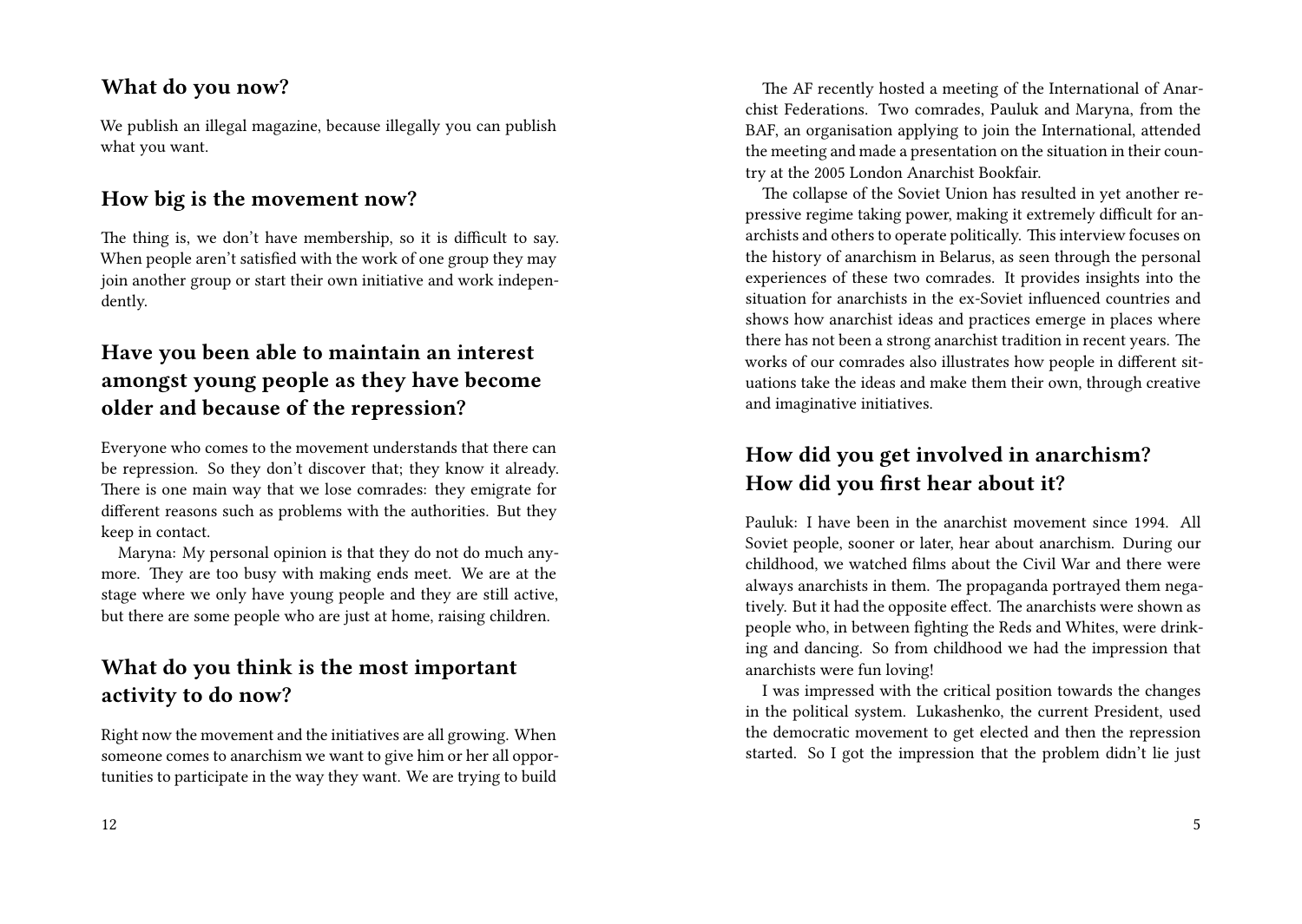#### **What do you now?**

We publish an illegal magazine, because illegally you can publish what you want.

#### **How big is the movement now?**

The thing is, we don't have membership, so it is difficult to say. When people aren't satisfied with the work of one group they may join another group or start their own initiative and work independently.

# **Have you been able to maintain an interest amongst young people as they have become older and because of the repression?**

Everyone who comes to the movement understands that there can be repression. So they don't discover that; they know it already. There is one main way that we lose comrades: they emigrate for different reasons such as problems with the authorities. But they keep in contact.

Maryna: My personal opinion is that they do not do much anymore. They are too busy with making ends meet. We are at the stage where we only have young people and they are still active, but there are some people who are just at home, raising children.

# **What do you think is the most important activity to do now?**

Right now the movement and the initiatives are all growing. When someone comes to anarchism we want to give him or her all opportunities to participate in the way they want. We are trying to build

The AF recently hosted a meeting of the International of Anarchist Federations. Two comrades, Pauluk and Maryna, from the BAF, an organisation applying to join the International, attended the meeting and made a presentation on the situation in their country at the 2005 London Anarchist Bookfair.

The collapse of the Soviet Union has resulted in yet another repressive regime taking power, making it extremely difficult for anarchists and others to operate politically. This interview focuses on the history of anarchism in Belarus, as seen through the personal experiences of these two comrades. It provides insights into the situation for anarchists in the ex-Soviet influenced countries and shows how anarchist ideas and practices emerge in places where there has not been a strong anarchist tradition in recent years. The works of our comrades also illustrates how people in different situations take the ideas and make them their own, through creative and imaginative initiatives.

## **How did you get involved in anarchism? How did you first hear about it?**

Pauluk: I have been in the anarchist movement since 1994. All Soviet people, sooner or later, hear about anarchism. During our childhood, we watched films about the Civil War and there were always anarchists in them. The propaganda portrayed them negatively. But it had the opposite effect. The anarchists were shown as people who, in between fighting the Reds and Whites, were drinking and dancing. So from childhood we had the impression that anarchists were fun loving!

I was impressed with the critical position towards the changes in the political system. Lukashenko, the current President, used the democratic movement to get elected and then the repression started. So I got the impression that the problem didn't lie just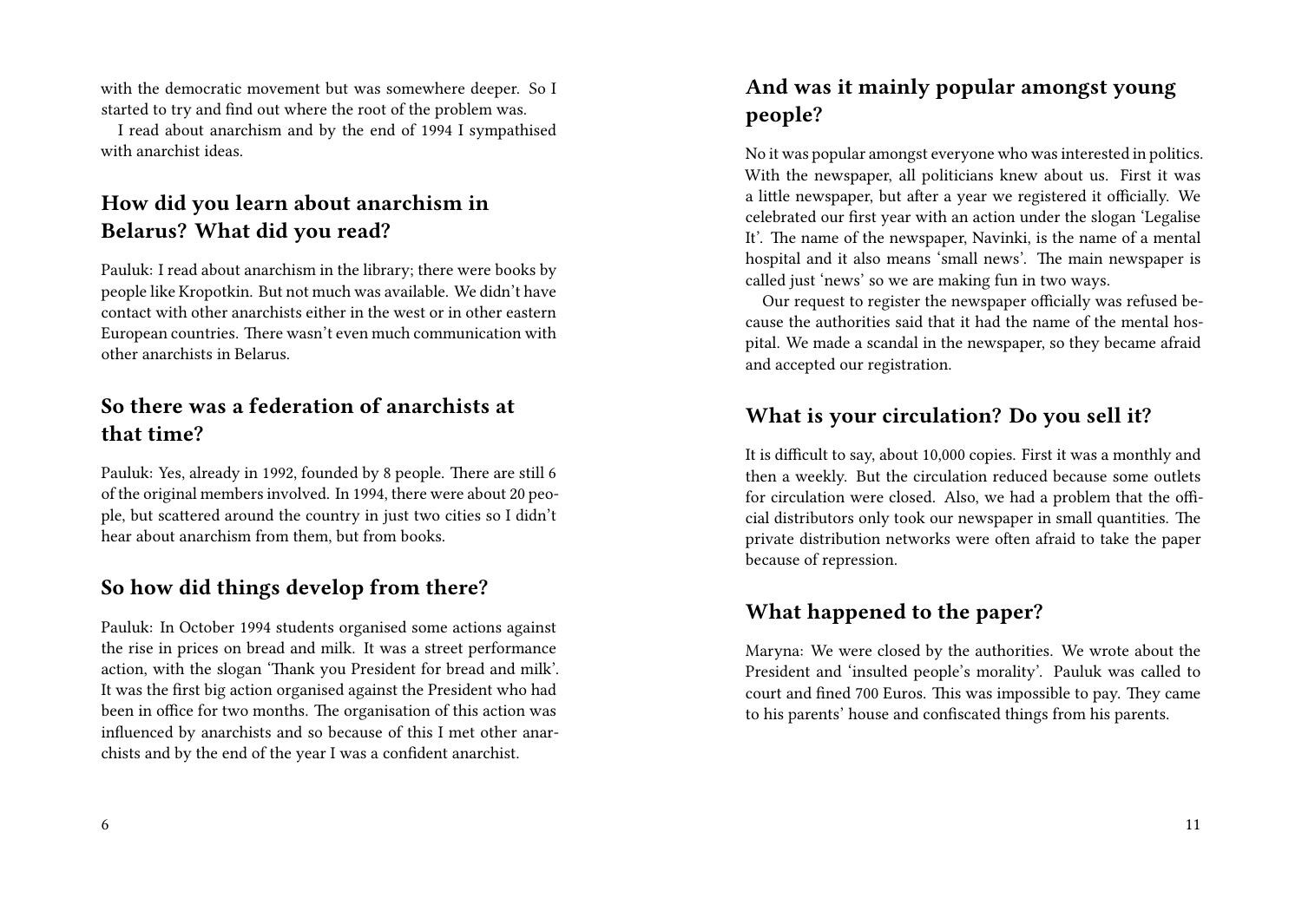with the democratic movement but was somewhere deeper. So I started to try and find out where the root of the problem was.

I read about anarchism and by the end of 1994 I sympathised with anarchist ideas.

## **How did you learn about anarchism in Belarus? What did you read?**

Pauluk: I read about anarchism in the library; there were books by people like Kropotkin. But not much was available. We didn't have contact with other anarchists either in the west or in other eastern European countries. There wasn't even much communication with other anarchists in Belarus.

#### **So there was a federation of anarchists at that time?**

Pauluk: Yes, already in 1992, founded by 8 people. There are still 6 of the original members involved. In 1994, there were about 20 people, but scattered around the country in just two cities so I didn't hear about anarchism from them, but from books.

#### **So how did things develop from there?**

Pauluk: In October 1994 students organised some actions against the rise in prices on bread and milk. It was a street performance action, with the slogan 'Thank you President for bread and milk'. It was the first big action organised against the President who had been in office for two months. The organisation of this action was influenced by anarchists and so because of this I met other anarchists and by the end of the year I was a confident anarchist.

## **And was it mainly popular amongst young people?**

No it was popular amongst everyone who was interested in politics. With the newspaper, all politicians knew about us. First it was a little newspaper, but after a year we registered it officially. We celebrated our first year with an action under the slogan 'Legalise It'. The name of the newspaper, Navinki, is the name of a mental hospital and it also means 'small news'. The main newspaper is called just 'news' so we are making fun in two ways.

Our request to register the newspaper officially was refused because the authorities said that it had the name of the mental hospital. We made a scandal in the newspaper, so they became afraid and accepted our registration.

#### **What is your circulation? Do you sell it?**

It is difficult to say, about 10,000 copies. First it was a monthly and then a weekly. But the circulation reduced because some outlets for circulation were closed. Also, we had a problem that the official distributors only took our newspaper in small quantities. The private distribution networks were often afraid to take the paper because of repression.

#### **What happened to the paper?**

Maryna: We were closed by the authorities. We wrote about the President and 'insulted people's morality'. Pauluk was called to court and fined 700 Euros. This was impossible to pay. They came to his parents' house and confiscated things from his parents.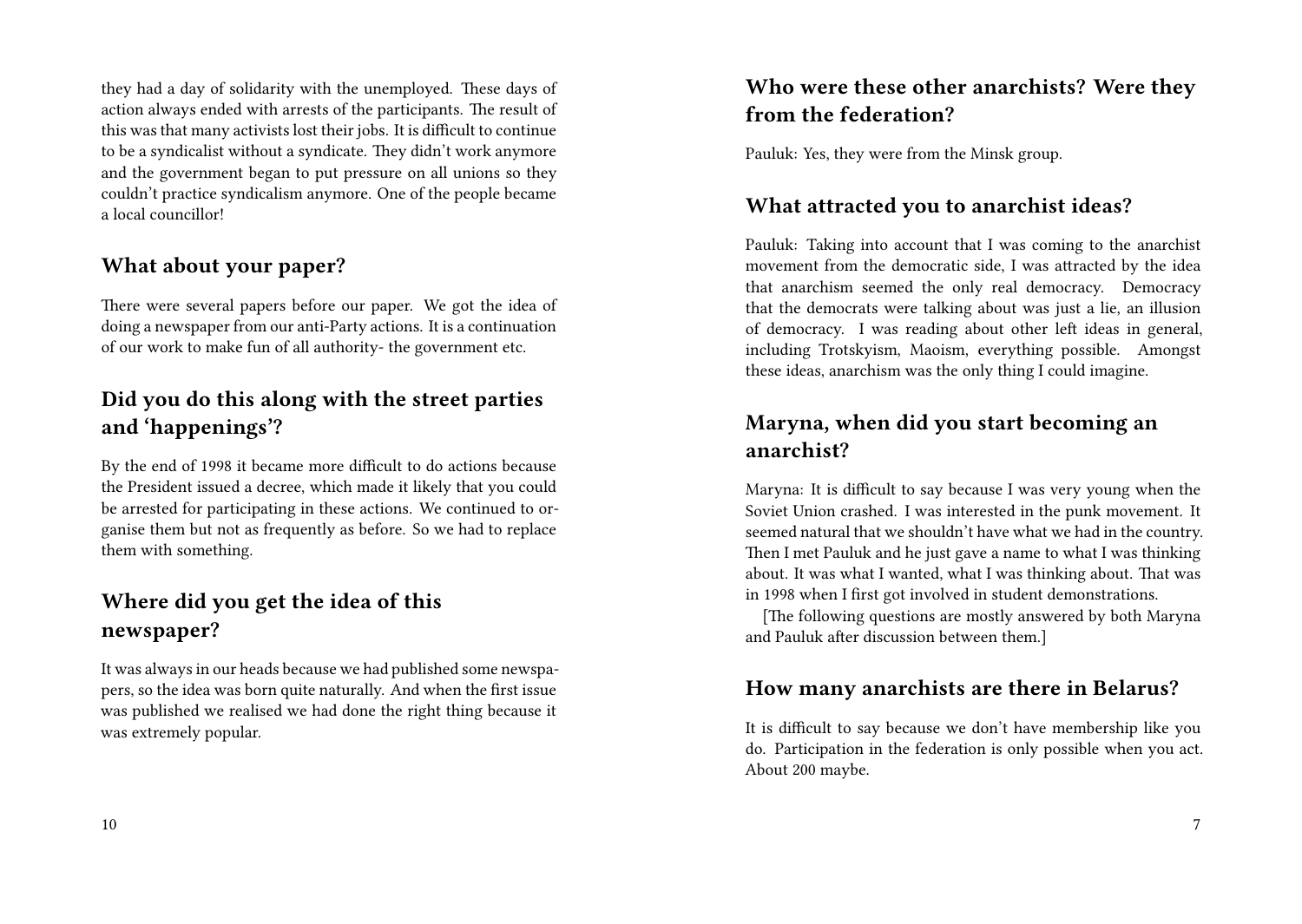they had a day of solidarity with the unemployed. These days of action always ended with arrests of the participants. The result of this was that many activists lost their jobs. It is difficult to continue to be a syndicalist without a syndicate. They didn't work anymore and the government began to put pressure on all unions so they couldn't practice syndicalism anymore. One of the people became a local councillor!

### **What about your paper?**

There were several papers before our paper. We got the idea of doing a newspaper from our anti-Party actions. It is a continuation of our work to make fun of all authority- the government etc.

## **Did you do this along with the street parties and 'happenings'?**

By the end of 1998 it became more difficult to do actions because the President issued a decree, which made it likely that you could be arrested for participating in these actions. We continued to organise them but not as frequently as before. So we had to replace them with something.

### **Where did you get the idea of this newspaper?**

It was always in our heads because we had published some newspapers, so the idea was born quite naturally. And when the first issue was published we realised we had done the right thing because it was extremely popular.

# **Who were these other anarchists? Were they from the federation?**

Pauluk: Yes, they were from the Minsk group.

#### **What attracted you to anarchist ideas?**

Pauluk: Taking into account that I was coming to the anarchist movement from the democratic side, I was attracted by the idea that anarchism seemed the only real democracy. Democracy that the democrats were talking about was just a lie, an illusion of democracy. I was reading about other left ideas in general, including Trotskyism, Maoism, everything possible. Amongst these ideas, anarchism was the only thing I could imagine.

#### **Maryna, when did you start becoming an anarchist?**

Maryna: It is difficult to say because I was very young when the Soviet Union crashed. I was interested in the punk movement. It seemed natural that we shouldn't have what we had in the country. Then I met Pauluk and he just gave a name to what I was thinking about. It was what I wanted, what I was thinking about. That was in 1998 when I first got involved in student demonstrations.

[The following questions are mostly answered by both Maryna and Pauluk after discussion between them.]

#### **How many anarchists are there in Belarus?**

It is difficult to say because we don't have membership like you do. Participation in the federation is only possible when you act. About 200 maybe.